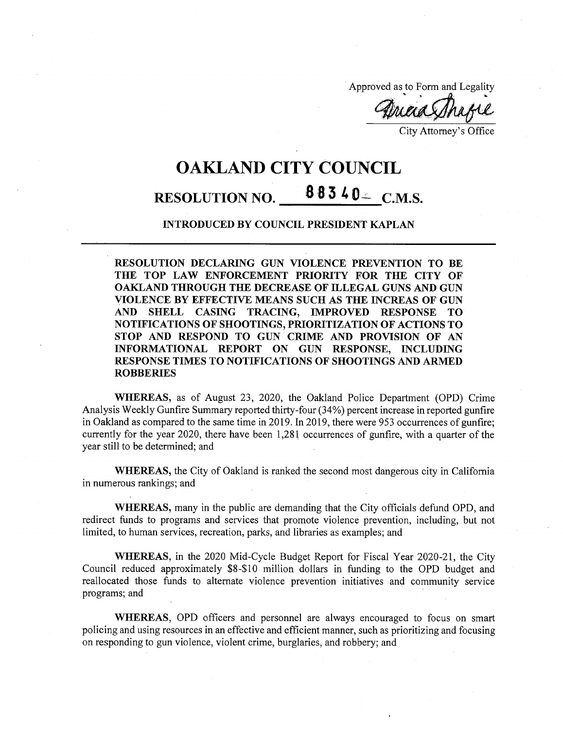Approved as to Form and Legality

5 />■ \*• Maa

City Attorney's Office

## OAKLAND CITY COUNCIL RESOLUTION NO.  $88340 - C.M.S.$

## **INTRODUCED BY COUNCIL PRESIDENT KAPLAN**

**RESOLUTION DECLARING GUN VIOLENCE PREVENTION TO BE THE TOP LAW ENFORCEMENT PRIORITY FOR THE CITY OF OAKLAND THROUGH THE DECREASE OF ILLEGAL GUNS AND GUN VIOLENCE BY EFFECTIVE MEANS SUCH AS THE INCREAS OF GUN AND SHELL CASING TRACING, IMPROVED RESPONSE TO NOTIFICATIONS OF SHOOTINGS, PRIORITIZATION OF ACTIONS TO STOP AND RESPOND TO GUN CRIME AND PROVISION OF AN INFORMATIONAL REPORT ON GUN RESPONSE, INCLUDING RESPONSE TIMES TO NOTIFICATIONS OF SHOOTINGS AND ARMED ROBBERIES**

**WHEREAS,** as of August 23, 2020, the Oakland Police Department (OPD) Crime Analysis Weekly Gunfire Summary reported thirty-four (34%) percent increase in reported gunfire in Oakland as compared to the same time in 2019. In 2019, there were 953 occurrences of gunfire; currently for the year 2020, there have been  $1,281$  occurrences of gunfire, with a quarter of the year still to be determined; and

**WHEREAS,** the City of Oakland is ranked the second most dangerous city in California in numerous rankings; and

**WHEREAS,** many in the public are demanding that the City officials defund OPD, and redirect funds to programs and services that promote violence prevention, including, but not limited, to human services, recreation, parks, and libraries as examples; and

**WHEREAS,** in the 2020 Mid-Cycle Budget Report for Fiscal Year 2020-21, the City Council reduced approximately \$8-\$ 10 million dollars in funding to the OPD budget and reallocated those funds to alternate violence prevention initiatives and community service programs; and

**WHEREAS,** OPD officers and personnel are always encouraged to focus on smart policing and using resources in an effective and efficient manner, such as prioritizing and focusing on responding to gun violence, violent crime, burglaries, and robbery; and